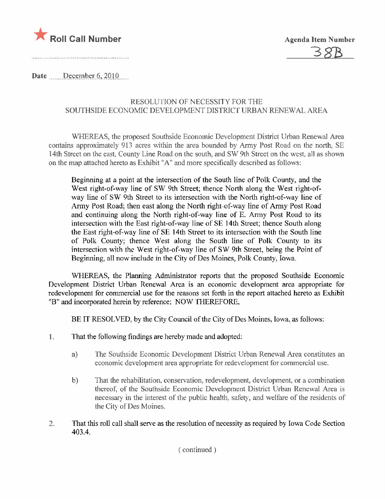

Date December 6, 2010

### RESOLUTION OF NECESSITY FOR THE SOUTHSIDE ECONOMIC DEVELOPMENT DISTRICT URBAN RENEWAL AREA

WHEREAS, the proposed Southside Economic Development District Urban Renewal Area contains approximately 913 acres within the area bounded by Army Post Road on the north. SE 14th Street on the east, County Line Road on the south, and SW 9th Street on the west, all as shown on the map attached hereto as Exhibit "A" and more specifically described as follows:

Beginning at a point at the intersection of the South line of Polk County, and the West right-of-way line of SW 9th Street; thence North along the West right-ofway line of SW 9th Street to its intersection with the North right-of-way line of Army Post Road: then east along the North right-of-way line of Army Post Road and continuing along the North right-of-way line of E. Army Post Road to its intersection with the East right-of-way line of SE 14th Street; thence South along the East right-of-way line of SE 14th Street to its intersection with the South line of Polk County; thence West along the South line of Polk County to its intersection with the West right-of-way line of SW 9th Street, being the Point of Beginning, all now include in the City of Des Moines, Polk County, Iowa.

WHEREAS, the Planning Administrator reports that the proposed Southside Economic Development District Urban Renewal Area is an economic development area appropriate for redevelopment for commercial use for the reasons set forth in the report attached hereto as Exhibit "B" and incorporated herein by reference; NOW THEREFORE,

BE IT RESOLVED, by the City Council of the City of Des Moines, Iowa, as follows:

- 1. That the following findings are hereby made and adopted:
	- The Southside Economic Development District Urban Renewal Area constitutes an  $a)$ economic development area appropriate for redevelopment for commercial use.
	- That the rehabilitation, conservation, redevelopment, development, or a combination  $b)$ thereof, of the Southside Economic Development District Urban Renewal Area is necessary in the interest of the public health, safety, and welfare of the residents of the City of Des Moines.
- That this roll call shall serve as the resolution of necessity as required by Iowa Code Section  $2.$ 403.4.

(continued)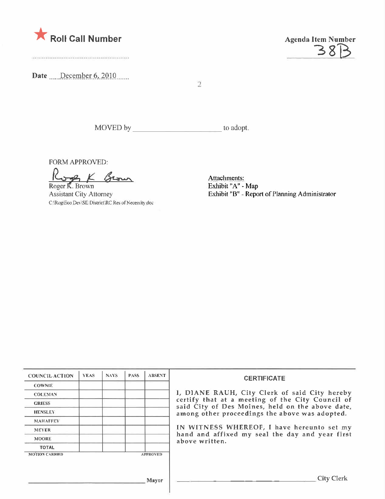

Date December 6, 2010



 $\overline{2}$ 

MOVED by to adopt.

FORM APPROVED:

A K Brown Roger K. Brown

Assistant City Attorney C:\Rog\Eco Dev\SE District\RC Res of Necessity doc

Attachments: Exhibit "A" - Map Exhibit "B" - Report of Planning Administrator

| <b>COUNCIL ACTION</b> | <b>YEAS</b> | NAYS: | <b>PASS</b> | <b>ABSENT</b>   | <b>CERTIFICATE</b>                                                                                                                                    |  |  |
|-----------------------|-------------|-------|-------------|-----------------|-------------------------------------------------------------------------------------------------------------------------------------------------------|--|--|
| <b>COWNIE</b>         |             |       |             |                 |                                                                                                                                                       |  |  |
| <b>COLEMAN</b>        |             |       |             |                 | I, DIANE RAUH, City Clerk of said City hereby<br>certify that at a meeting of the City Council of<br>said City of Des Moines, held on the above date, |  |  |
| <b>GRIESS</b>         |             |       |             |                 |                                                                                                                                                       |  |  |
| <b>IIENSLEY</b>       |             |       |             |                 | among other proceedings the above was adopted.                                                                                                        |  |  |
| <b>MAHAFFEY</b>       |             |       |             |                 |                                                                                                                                                       |  |  |
| <b>MEYER</b>          |             |       |             |                 | IN WITNESS WHEREOF, I have hereunto set my                                                                                                            |  |  |
| <b>MOORE</b>          |             |       |             |                 | hand and affixed my seal the day and year first<br>above written.                                                                                     |  |  |
| <b>TOTAL</b>          |             |       |             |                 |                                                                                                                                                       |  |  |
| <b>MOTION CARRIED</b> |             |       |             | <b>APPROVED</b> |                                                                                                                                                       |  |  |
|                       |             |       |             |                 |                                                                                                                                                       |  |  |
|                       |             |       |             |                 |                                                                                                                                                       |  |  |
| Mayor                 |             |       |             |                 | City Clerk                                                                                                                                            |  |  |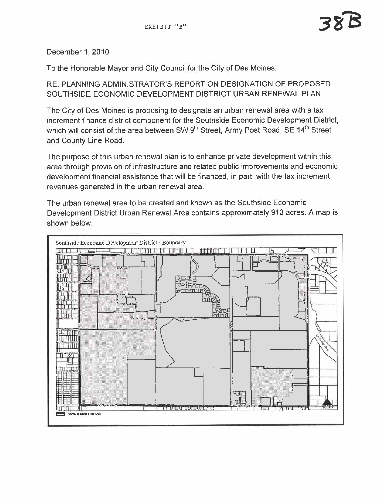December 1, 2010

To the Honorable Mayor and City Council for the City of Des Moines:

RE: PLANNING ADMINISTRATOR'S REPORT ON DESIGNATION OF PROPOSED SOUTHSIDE ECONOMIC DEVELOPMENT DISTRICT URBAN RENEWAL PLAN

The City of Des Moines is proposing to designate an urban renewal area with a tax increment finance district component for the Southside Economic Development District, which will consist of the area between SW  $9<sup>th</sup>$  Street, Army Post Road, SE 14<sup>th</sup> Street and County Line Road.

The purpose of this urban renewal plan is to enhance private development within this area through provision of infrastructure and related public improvements and economic development financial assistance that will be financed, in part, with the tax increment revenues generated in the urban renewal area.

The urban renewal area to be created and known as the Southside Economic Development District Urban Renewal Area contains approximately 913 acres. A map is shown below.

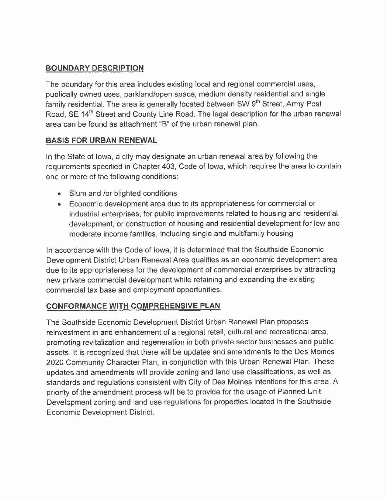# BOUNDARY DESCRIPTION

The boundary for this area includes existing local and regional commercial uses, publically owned uses, parkland/open space, medium density residential and single family residential. The area is generally located between SW 9<sup>th</sup> Street, Army Post Road, SE 14<sup>th</sup> Street and County Line Road. The legal description for the urban renewal area can be found as attachment "8" of the urban renewal plan.

# BASIS FOR URBAN RENEWAL

In the State of Iowa, a city may designate an urban renewal area by following the requirements specified in Chapter 403, Code of Iowa, which requires the area to contain one or more of the following conditions:

- Slum and /or blighted conditions
- . Economic development area due to its appropriateness for commercial or industrial enterprises, for public improvements related to housing and residential development, or construction of housing and residential development for low and moderate income families, including single and multifamily housing

In accordance with the Code of Iowa, it is determined that the Southside Economic Development District Urban Renewal Area qualifies as an economic development area due to its appropriateness for the development of commercial enterprises by attracting new private commercial development while retaining and expanding the existing commercial tax base and employment opportunities.

# CONFORMANCE WITH COMPREHENSIVE PLAN

The Southside Economic Development District Urban Renewal Plan proposes reinvestment in and enhancement of a regional retail, cultural and recreational area, promoting revitalization and regeneration in both private sector businesses and public assets. It is recognized that there will be updates and amendments to the Des Moines 2020 Community Character Plan, in conjunction with this Urban Renewal Plan. These updates and amendments will provide zoning and land use classifications, as well as standards and regulations consistent with City of Des Moines intentions for this area. A priority of the amendment process will be to provide for the usage of Planned Unit Development zoning and land use regulations for properties located in the Southside Economic Development District.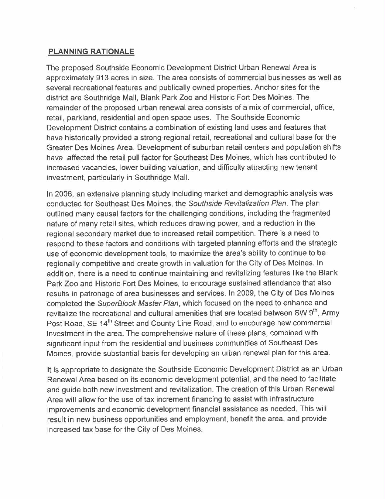#### PLANNING RATIONALE

The proposed Southside Economic Development District Urban Renewal Area is approximately 913 acres in size. The area consists of commercial businesses as well as several recreational features and publically owned properties. Anchor sites for the district are South ridge Mall, Blank Park Zoo and Historic Fort Des Moines. The remainder of the proposed urban renewal area consists of a mix of commercial, office, retail, parkland, residential and open space uses. The Southside Economic Development District contains a combination of existing land uses and features that have historically provided a strong regional retail, recreational and cultural base for the Greater Des Moines Area. Development of suburban retail centers and population shifts have affected the retail pull factor for Southeast Des Moines, which has contributed to increased vacancies, lower building valuation, and difficulty attracting new tenant investment, particularly in Southridge Mall.

In 2006, an extensive planning study including market and demographic analysis was conducted for Southeast Des Moines, the Southside Revitalization Plan. The plan outlined many causal factors for the challenging conditions, including the fragmented nature of many retail sites, which reduces drawing power, and a reduction in the regional secondary market due to increased retail competition. There is a need to respond to these factors and conditions with targeted planning efforts and the strategic use of economic development tools, to maximize the area's ability to continue to be regionally competitive and create growth in valuation for the City of Des Moines. In addition, there is a need to continue maintaining and revitalizing features like the Blank Park Zoo and Historic Fort Des Moines, to encourage sustained attendance that also results in patronage of area businesses and services. In 2009, the City of Des Moines completed the SuperBlock Master Plan, which focused on the need to enhance and revitalize the recreational and cultural amenities that are located between SW 9<sup>th</sup>, Army Post Road, SE 14<sup>th</sup> Street and County Line Road, and to encourage new commercial investment in the area. The comprehensive nature of these plans, combined with significant input from the residential and business communities of Southeast Des Moines, provide substantial basis for developing an urban renewal plan for this area.

It is appropriate to designate the Southside Economic Development District as an Urban Renewal Area based on its economic development potential, and the need to facilitate and guide both new investment and revitalization. The creation of this Urban Renewal Area will allow for the use of tax increment financing to assist with infrastructure improvements and economic development financial assistance as needed. This will result in new business opportunities and employment, benefit the area, and provide increased tax base for the City of Des Moines.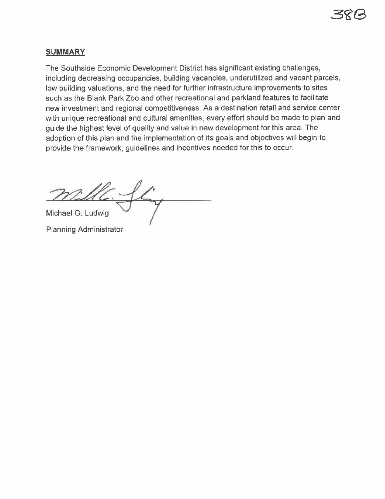### SUMMARY

The Southside Economic Development District has significant existing challenges, including decreasing occupancies, building vacancies, underutilized and vacant parcels, low building valuations, and the need for further infrastructure improvements to sites such as the Blank Park Zoo and other recreational and parkland features to facilitate new investment and regional competitiveness. As a destination retail and service center with unique recreational and cultural amenities, every effort should be made to plan and guide the highest level of quality and value in new development for this area. The adoption of this plan and the implementation of its goals and objectives will begin to provide the framework, guidelines and incentives needed for this to occur.

UC. Michael G. Ludwig

Planning Administrator